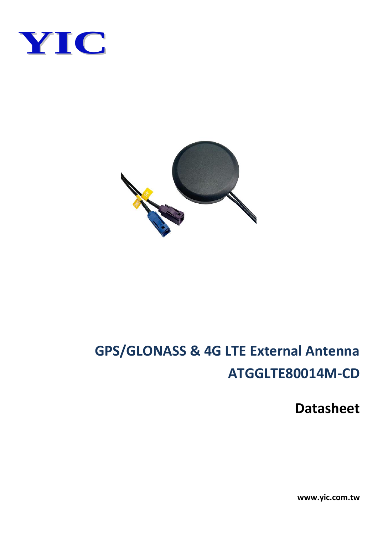



### **GPS/GLONASS & 4G LTE External Antenna ATGGLTE80014M-CD**

**Datasheet**

**www.yic.com.tw**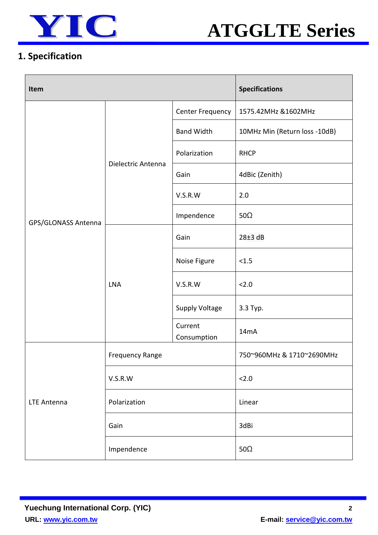



#### **1. Specification**

| Item                |                        |                        | <b>Specifications</b>         |  |
|---------------------|------------------------|------------------------|-------------------------------|--|
|                     |                        | Center Frequency       | 1575.42MHz &1602MHz           |  |
|                     | Dielectric Antenna     | <b>Band Width</b>      | 10MHz Min (Return loss -10dB) |  |
|                     |                        | Polarization           | <b>RHCP</b>                   |  |
|                     |                        | Gain                   | 4dBic (Zenith)                |  |
|                     |                        | V.S.R.W                | 2.0                           |  |
| GPS/GLONASS Antenna |                        | Impendence             | 50 $\Omega$                   |  |
|                     | <b>LNA</b>             | Gain                   | 28±3 dB                       |  |
|                     |                        | Noise Figure           | < 1.5                         |  |
|                     |                        | V.S.R.W                | 2.0                           |  |
|                     |                        | <b>Supply Voltage</b>  | 3.3 Тур.                      |  |
|                     |                        | Current<br>Consumption | 14 <sub>m</sub> A             |  |
|                     | <b>Frequency Range</b> |                        | 750~960MHz & 1710~2690MHz     |  |
| <b>LTE Antenna</b>  | V.S.R.W                |                        | 2.0                           |  |
|                     | Polarization           |                        | Linear                        |  |
|                     | Gain                   |                        | 3dBi                          |  |
|                     | Impendence             |                        | 50 $\Omega$                   |  |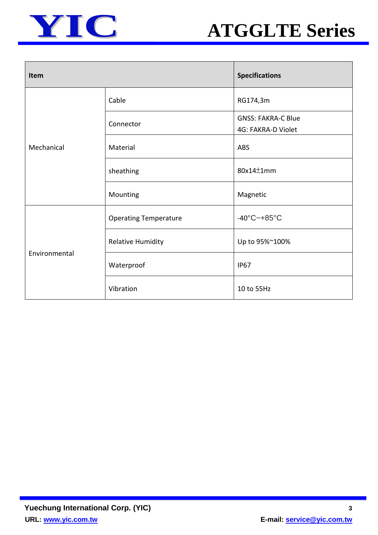



| Item          |                              | <b>Specifications</b>                           |  |
|---------------|------------------------------|-------------------------------------------------|--|
| Mechanical    | Cable                        | RG174,3m                                        |  |
|               | Connector                    | <b>GNSS: FAKRA-C Blue</b><br>4G: FAKRA-D Violet |  |
|               | Material                     | <b>ABS</b>                                      |  |
|               | sheathing                    | 80x14±1mm                                       |  |
|               | Mounting                     | Magnetic                                        |  |
| Environmental | <b>Operating Temperature</b> | $-40^{\circ}$ C $-+85^{\circ}$ C                |  |
|               | <b>Relative Humidity</b>     | Up to 95%~100%                                  |  |
|               | Waterproof                   | <b>IP67</b>                                     |  |
|               | Vibration                    | 10 to 55Hz                                      |  |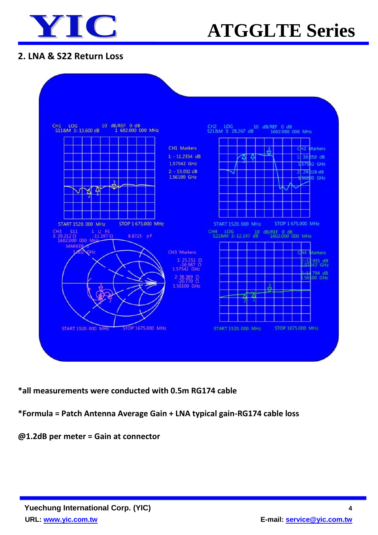

## **YIC ATGGLTE Series**

#### **2. LNA & S22 Return Loss**



**\*all measurements were conducted with 0.5m RG174 cable**

#### **\*Formula = Patch Antenna Average Gain + LNA typical gain-RG174 cable loss**

**@1.2dB per meter = Gain at connector**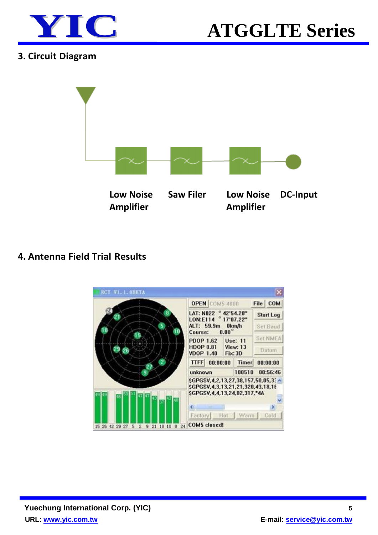



#### **3. Circuit Diagram**



#### **4. Antenna Field Trial Results**

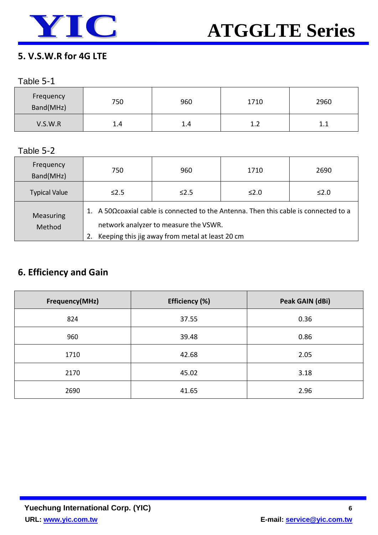

#### **5. V.S.W.R for 4G LTE**

#### Table 5-1

| Frequency<br>Band(MHz) | 750 | 960 | 1710 | 2960 |
|------------------------|-----|-----|------|------|
| V.S.W.R                | 1.4 | 1.4 | 1.2  | .    |

#### Table 5-2

| Frequency<br>Band(MHz) | 750                                                                                                                                                                               | 960        | 1710 | 2690 |
|------------------------|-----------------------------------------------------------------------------------------------------------------------------------------------------------------------------------|------------|------|------|
| <b>Typical Value</b>   | $\leq 2.5$                                                                                                                                                                        | $\leq$ 2.5 | ≤2.0 | ≤2.0 |
| Measuring<br>Method    | 1. A 50Ω coaxial cable is connected to the Antenna. Then this cable is connected to a<br>network analyzer to measure the VSWR.<br>Keeping this jig away from metal at least 20 cm |            |      |      |

#### **6. Efficiency and Gain**

| Frequency(MHz) | Efficiency (%) | Peak GAIN (dBi) |
|----------------|----------------|-----------------|
| 824            | 37.55          | 0.36            |
| 960            | 39.48          | 0.86            |
| 1710           | 42.68          | 2.05            |
| 2170           | 45.02          | 3.18            |
| 2690           | 41.65          | 2.96            |